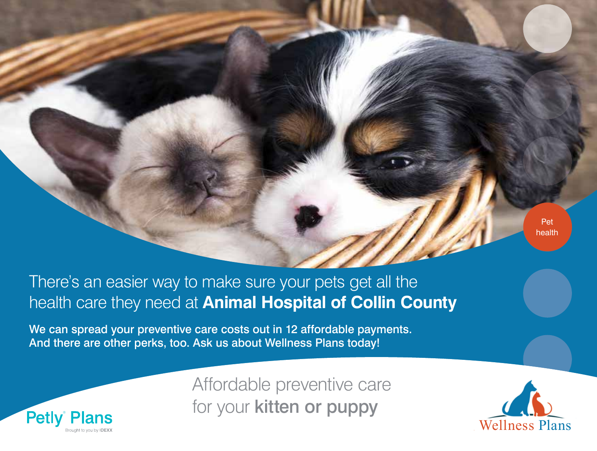

## There's an easier way to make sure your pets get all the health care they need at **Animal Hospital of Collin County**

We can spread your preventive care costs out in 12 affordable payments. And there are other perks, too. Ask us about Wellness Plans today!



Affordable preventive care for your kitten or puppy